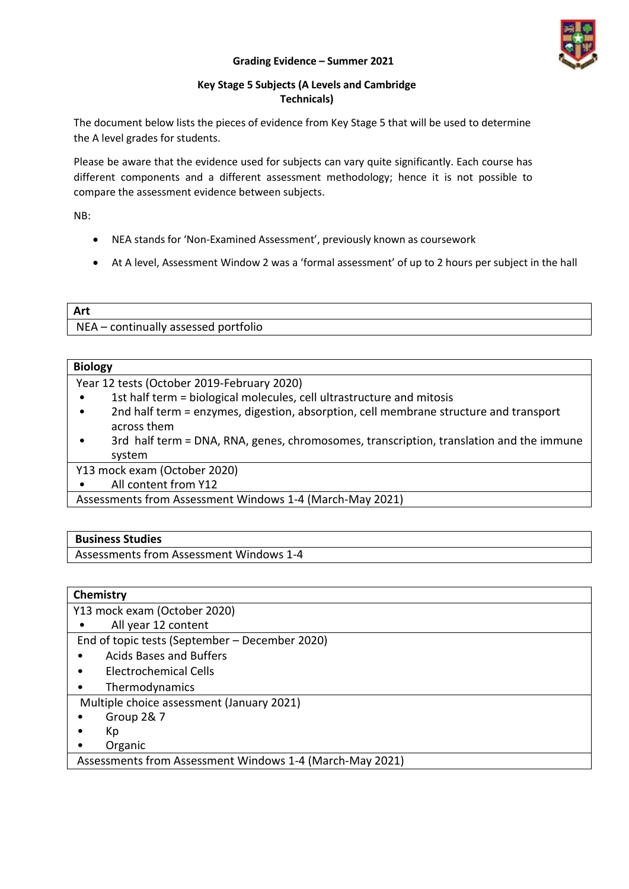#### **Grading Evidence – Summer 2021**



### **Key Stage 5 Subjects (A Levels and Cambridge Technicals)**

The document below lists the pieces of evidence from Key Stage 5 that will be used to determine the A level grades for students.

Please be aware that the evidence used for subjects can vary quite significantly. Each course has different components and a different assessment methodology; hence it is not possible to compare the assessment evidence between subjects.

NB:

- NEA stands for 'Non-Examined Assessment', previously known as coursework
- At A level, Assessment Window 2 was a 'formal assessment' of up to 2 hours per subject in the hall

## **Art** NEA – continually assessed portfolio

## **Biology** Year 12 tests (October 2019-February 2020) • 1st half term = biological molecules, cell ultrastructure and mitosis

- 2nd half term = enzymes, digestion, absorption, cell membrane structure and transport across them
- 3rd half term = DNA, RNA, genes, chromosomes, transcription, translation and the immune system

Y13 mock exam (October 2020)

• All content from Y12

Assessments from Assessment Windows 1-4 (March-May 2021)

## **Business Studies**

Assessments from Assessment Windows 1-4

# **Chemistry** Y13 mock exam (October 2020)

All year 12 content

End of topic tests (September – December 2020)

- Acids Bases and Buffers
- Electrochemical Cells
- **Thermodynamics**
- Multiple choice assessment (January 2021)
- Group 2& 7
- Kp
- Organic

Assessments from Assessment Windows 1-4 (March-May 2021)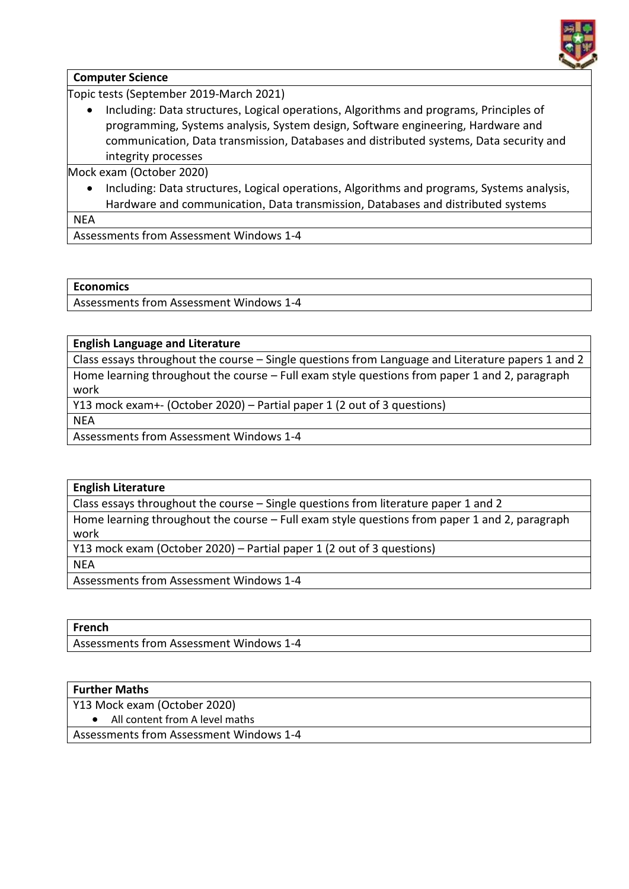

### **Computer Science**

Topic tests (September 2019-March 2021)

 Including: Data structures, Logical operations, Algorithms and programs, Principles of programming, Systems analysis, System design, Software engineering, Hardware and communication, Data transmission, Databases and distributed systems, Data security and integrity processes

Mock exam (October 2020)

 Including: Data structures, Logical operations, Algorithms and programs, Systems analysis, Hardware and communication, Data transmission, Databases and distributed systems

**NEA** 

Assessments from Assessment Windows 1-4

### **Economics**

Assessments from Assessment Windows 1-4

### **English Language and Literature**

Class essays throughout the course – Single questions from Language and Literature papers 1 and 2 Home learning throughout the course – Full exam style questions from paper 1 and 2, paragraph work

Y13 mock exam+- (October 2020) – Partial paper 1 (2 out of 3 questions)

NEA

Assessments from Assessment Windows 1-4

#### **English Literature**

Class essays throughout the course – Single questions from literature paper 1 and 2

Home learning throughout the course – Full exam style questions from paper 1 and 2, paragraph work

Y13 mock exam (October 2020) – Partial paper 1 (2 out of 3 questions)

**NEA** 

Assessments from Assessment Windows 1-4

**French**

Assessments from Assessment Windows 1-4

## **Further Maths**

Y13 Mock exam (October 2020)

• All content from A level maths

Assessments from Assessment Windows 1-4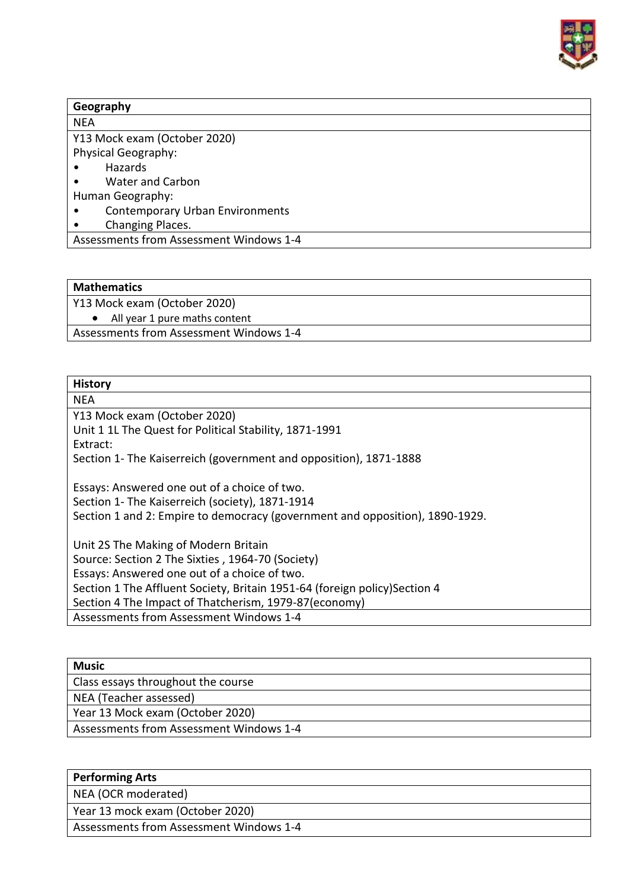

| Geography                  |                                         |  |  |
|----------------------------|-----------------------------------------|--|--|
| <b>NEA</b>                 |                                         |  |  |
|                            | Y13 Mock exam (October 2020)            |  |  |
| <b>Physical Geography:</b> |                                         |  |  |
| Hazards                    |                                         |  |  |
| ٠                          | <b>Water and Carbon</b>                 |  |  |
| Human Geography:           |                                         |  |  |
| ٠                          | <b>Contemporary Urban Environments</b>  |  |  |
| ٠                          | Changing Places.                        |  |  |
|                            | Assessments from Assessment Windows 1-4 |  |  |

### **Mathematics**

Y13 Mock exam (October 2020)

• All year 1 pure maths content

Assessments from Assessment Windows 1-4

## **History**

**NEA** 

Y13 Mock exam (October 2020)

Unit 1 1L The Quest for Political Stability, 1871-1991

Extract:

Section 1- The Kaiserreich (government and opposition), 1871-1888

Essays: Answered one out of a choice of two. Section 1- The Kaiserreich (society), 1871-1914 Section 1 and 2: Empire to democracy (government and opposition), 1890-1929.

Unit 2S The Making of Modern Britain Source: Section 2 The Sixties , 1964-70 (Society) Essays: Answered one out of a choice of two. Section 1 The Affluent Society, Britain 1951-64 (foreign policy)Section 4 Section 4 The Impact of Thatcherism, 1979-87(economy) Assessments from Assessment Windows 1-4

| Music                                   |
|-----------------------------------------|
| Class essays throughout the course      |
| NEA (Teacher assessed)                  |
| Year 13 Mock exam (October 2020)        |
| Assessments from Assessment Windows 1-4 |

## **Performing Arts**

NEA (OCR moderated)

Year 13 mock exam (October 2020)

Assessments from Assessment Windows 1-4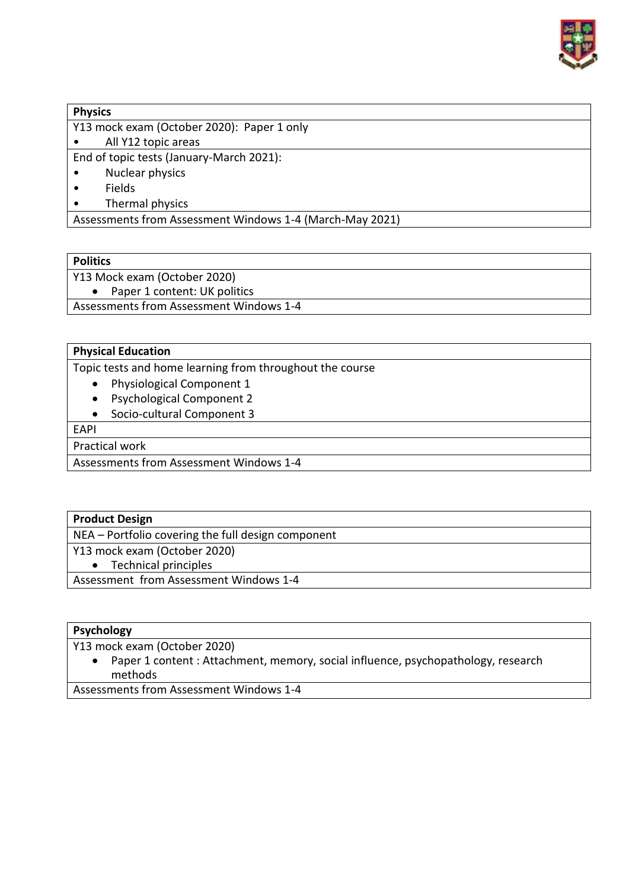

### **Physics**

Y13 mock exam (October 2020): Paper 1 only

• All Y12 topic areas

End of topic tests (January-March 2021):

- Nuclear physics
- Fields
- Thermal physics

Assessments from Assessment Windows 1-4 (March-May 2021)

### **Politics**

Y13 Mock exam (October 2020)

• Paper 1 content: UK politics

Assessments from Assessment Windows 1-4

### **Physical Education**

Topic tests and home learning from throughout the course

- Physiological Component 1
- Psychological Component 2
- Socio-cultural Component 3

EAPI

Practical work

Assessments from Assessment Windows 1-4

## **Product Design**

NEA – Portfolio covering the full design component

Y13 mock exam (October 2020)

• Technical principles

Assessment from Assessment Windows 1-4

## **Psychology**

Y13 mock exam (October 2020)

• Paper 1 content : Attachment, memory, social influence, psychopathology, research methods

Assessments from Assessment Windows 1-4